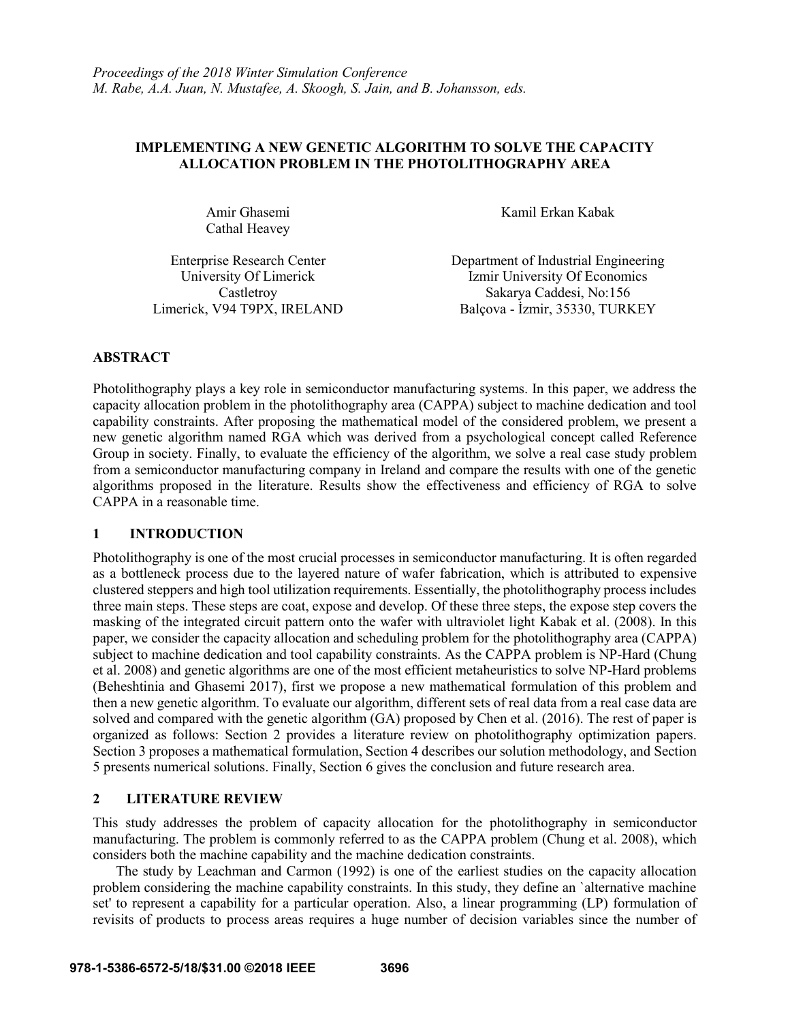# **IMPLEMENTING A NEW GENETIC ALGORITHM TO SOLVE THE CAPACITY ALLOCATION PROBLEM IN THE PHOTOLITHOGRAPHY AREA**

Amir Ghasemi Cathal Heavey

Kamil Erkan Kabak

Enterprise Research Center Department of Industrial Engineering University Of Limerick Izmir University Of Economics Castletroy Sakarya Caddesi, No:156 Limerick, V94 T9PX, IRELAND Balçova - İzmir, 35330, TURKEY

# **ABSTRACT**

Photolithography plays a key role in semiconductor manufacturing systems. In this paper, we address the capacity allocation problem in the photolithography area (CAPPA) subject to machine dedication and tool capability constraints. After proposing the mathematical model of the considered problem, we present a new genetic algorithm named RGA which was derived from a psychological concept called Reference Group in society. Finally, to evaluate the efficiency of the algorithm, we solve a real case study problem from a semiconductor manufacturing company in Ireland and compare the results with one of the genetic algorithms proposed in the literature. Results show the effectiveness and efficiency of RGA to solve CAPPA in a reasonable time.

## **1 INTRODUCTION**

Photolithography is one of the most crucial processes in semiconductor manufacturing. It is often regarded as a bottleneck process due to the layered nature of wafer fabrication, which is attributed to expensive clustered steppers and high tool utilization requirements. Essentially, the photolithography process includes three main steps. These steps are coat, expose and develop. Of these three steps, the expose step covers the masking of the integrated circuit pattern onto the wafer with ultraviolet light Kabak et al. (2008). In this paper, we consider the capacity allocation and scheduling problem for the photolithography area (CAPPA) subject to machine dedication and tool capability constraints. As the CAPPA problem is NP-Hard (Chung et al. 2008) and genetic algorithms are one of the most efficient metaheuristics to solve NP-Hard problems (Beheshtinia and Ghasemi 2017), first we propose a new mathematical formulation of this problem and then a new genetic algorithm. To evaluate our algorithm, different sets of real data from a real case data are solved and compared with the genetic algorithm (GA) proposed by Chen et al. (2016). The rest of paper is organized as follows: Section 2 provides a literature review on photolithography optimization papers. Section 3 proposes a mathematical formulation, Section 4 describes our solution methodology, and Section 5 presents numerical solutions. Finally, Section 6 gives the conclusion and future research area.

# **2 LITERATURE REVIEW**

This study addresses the problem of capacity allocation for the photolithography in semiconductor manufacturing. The problem is commonly referred to as the CAPPA problem (Chung et al. 2008), which considers both the machine capability and the machine dedication constraints.

The study by Leachman and Carmon (1992) is one of the earliest studies on the capacity allocation problem considering the machine capability constraints. In this study, they define an `alternative machine set' to represent a capability for a particular operation. Also, a linear programming (LP) formulation of revisits of products to process areas requires a huge number of decision variables since the number of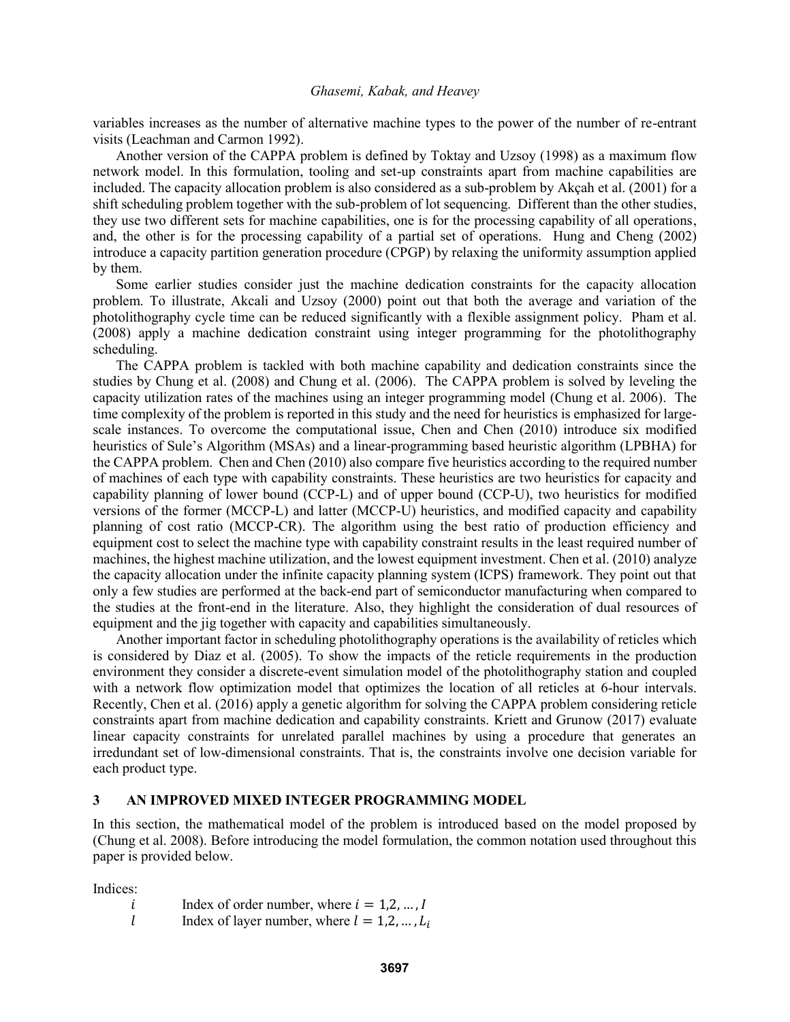variables increases as the number of alternative machine types to the power of the number of re-entrant visits (Leachman and Carmon 1992).

Another version of the CAPPA problem is defined by Toktay and Uzsoy (1998) as a maximum flow network model. In this formulation, tooling and set-up constraints apart from machine capabilities are included. The capacity allocation problem is also considered as a sub-problem by Akçah et al. (2001) for a shift scheduling problem together with the sub-problem of lot sequencing. Different than the other studies, they use two different sets for machine capabilities, one is for the processing capability of all operations, and, the other is for the processing capability of a partial set of operations. Hung and Cheng (2002) introduce a capacity partition generation procedure (CPGP) by relaxing the uniformity assumption applied by them.

Some earlier studies consider just the machine dedication constraints for the capacity allocation problem. To illustrate, Akcali and Uzsoy (2000) point out that both the average and variation of the photolithography cycle time can be reduced significantly with a flexible assignment policy. Pham et al. (2008) apply a machine dedication constraint using integer programming for the photolithography scheduling.

The CAPPA problem is tackled with both machine capability and dedication constraints since the studies by Chung et al. (2008) and Chung et al. (2006). The CAPPA problem is solved by leveling the capacity utilization rates of the machines using an integer programming model (Chung et al. 2006). The time complexity of the problem is reported in this study and the need for heuristics is emphasized for largescale instances. To overcome the computational issue, Chen and Chen (2010) introduce six modified heuristics of Sule's Algorithm (MSAs) and a linear-programming based heuristic algorithm (LPBHA) for the CAPPA problem. Chen and Chen (2010) also compare five heuristics according to the required number of machines of each type with capability constraints. These heuristics are two heuristics for capacity and capability planning of lower bound (CCP-L) and of upper bound (CCP-U), two heuristics for modified versions of the former (MCCP-L) and latter (MCCP-U) heuristics, and modified capacity and capability planning of cost ratio (MCCP-CR). The algorithm using the best ratio of production efficiency and equipment cost to select the machine type with capability constraint results in the least required number of machines, the highest machine utilization, and the lowest equipment investment. Chen et al. (2010) analyze the capacity allocation under the infinite capacity planning system (ICPS) framework. They point out that only a few studies are performed at the back-end part of semiconductor manufacturing when compared to the studies at the front-end in the literature. Also, they highlight the consideration of dual resources of equipment and the jig together with capacity and capabilities simultaneously.

Another important factor in scheduling photolithography operations is the availability of reticles which is considered by Diaz et al. (2005). To show the impacts of the reticle requirements in the production environment they consider a discrete-event simulation model of the photolithography station and coupled with a network flow optimization model that optimizes the location of all reticles at 6-hour intervals. Recently, Chen et al. (2016) apply a genetic algorithm for solving the CAPPA problem considering reticle constraints apart from machine dedication and capability constraints. Kriett and Grunow (2017) evaluate linear capacity constraints for unrelated parallel machines by using a procedure that generates an irredundant set of low-dimensional constraints. That is, the constraints involve one decision variable for each product type.

#### **3 AN IMPROVED MIXED INTEGER PROGRAMMING MODEL**

In this section, the mathematical model of the problem is introduced based on the model proposed by (Chung et al. 2008). Before introducing the model formulation, the common notation used throughout this paper is provided below.

Indices:

 $i$  Index of order number, where  $i = 1, 2, ..., I$ 

*l* Index of layer number, where  $l = 1, 2, ..., L_i$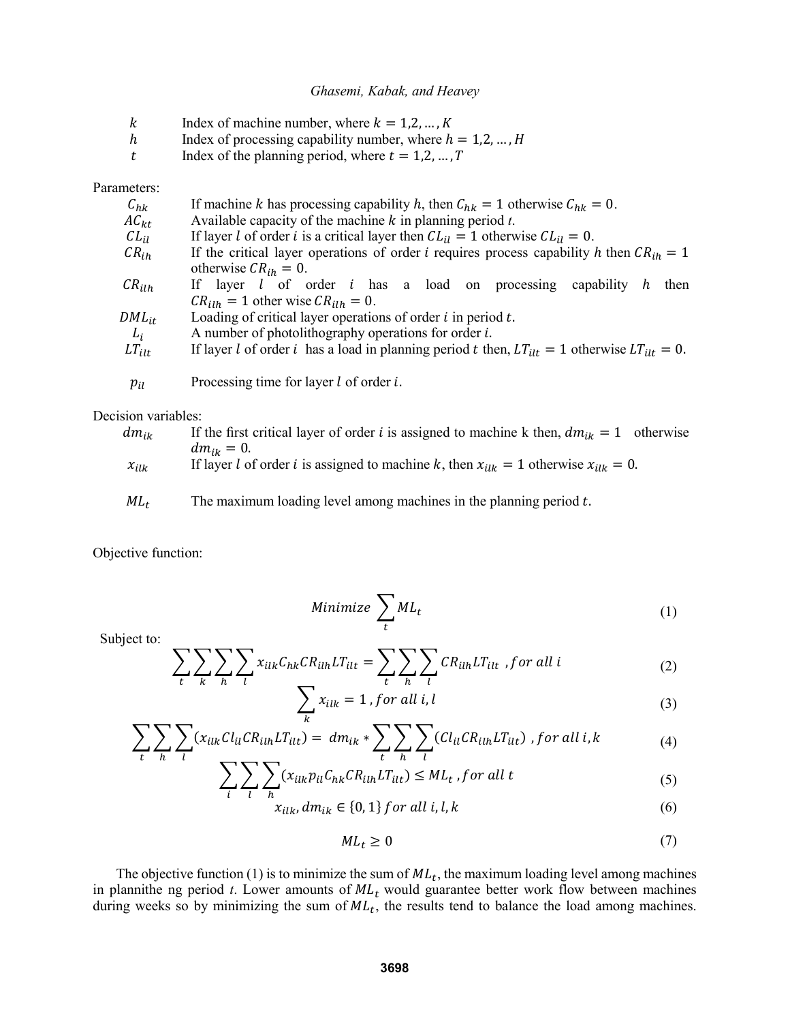- $k$  Index of machine number, where  $k = 1, 2, ..., K$
- h Index of processing capability number, where  $h = 1, 2, ..., H$
- t Index of the planning period, where  $t = 1, 2, ..., T$

Parameters:

| $C_{hk}$   | If machine k has processing capability h, then $C_{hk} = 1$ otherwise $C_{hk} = 0$ .                |  |  |  |  |  |  |  |
|------------|-----------------------------------------------------------------------------------------------------|--|--|--|--|--|--|--|
| $AC_{kt}$  | Available capacity of the machine $k$ in planning period $t$ .                                      |  |  |  |  |  |  |  |
| $CL_{il}$  | If layer l of order i is a critical layer then $CL_{il} = 1$ otherwise $CL_{il} = 0$ .              |  |  |  |  |  |  |  |
| $CR_{ih}$  | If the critical layer operations of order <i>i</i> requires process capability h then $CR_{ih} = 1$ |  |  |  |  |  |  |  |
|            | otherwise $CR_{ih} = 0$ .                                                                           |  |  |  |  |  |  |  |
| $CR_{ilh}$ | If layer $l$ of order $i$ has a load on processing capability $h$<br>then                           |  |  |  |  |  |  |  |
|            | $CR_{ilh} = 1$ other wise $CR_{ilh} = 0$ .                                                          |  |  |  |  |  |  |  |
| $DML_{it}$ | Loading of critical layer operations of order $i$ in period $t$ .                                   |  |  |  |  |  |  |  |
| $L_i$      | A number of photolithography operations for order $i$ .                                             |  |  |  |  |  |  |  |
| $LT_{ilt}$ | If layer l of order i has a load in planning period t then, $LT_{it} = 1$ otherwise $LT_{it} = 0$ . |  |  |  |  |  |  |  |
|            |                                                                                                     |  |  |  |  |  |  |  |
| $p_{il}$   | Processing time for layer $l$ of order $i$ .                                                        |  |  |  |  |  |  |  |

Decision variables:

| $dm_{ik}$ | If the first critical layer of order <i>i</i> is assigned to machine k then, $dm_{ik} = 1$ otherwise |
|-----------|------------------------------------------------------------------------------------------------------|
|           | $dm_{ik}=0.$                                                                                         |
| $x_{ilk}$ | If layer l of order i is assigned to machine k, then $x_{ijk} = 1$ otherwise $x_{ijk} = 0$ .         |
|           |                                                                                                      |

 $ML_t$  The maximum loading level among machines in the planning period t.

Objective function:

Minimize 
$$
\sum_t M L_t
$$
 (1)

Subject to:

$$
\sum_{t} \sum_{k} \sum_{h} \sum_{l} x_{ilk} C_{hk} C R_{ilh} L T_{ilt} = \sum_{t} \sum_{h} \sum_{l} C R_{ilh} L T_{ilt} , for all i
$$
\n(2)

$$
\sum_{k} x_{ilk} = 1, \text{for all } i, l \tag{3}
$$

$$
\sum_{t} \sum_{h} \sum_{l} (x_{ilk}Cl_{il}CR_{ilh}LT_{ilt}) = dm_{ik} * \sum_{t} \sum_{h} \sum_{l} (Cl_{il}CR_{ilh}LT_{ilt}) , for all i, k
$$
\n(4)

$$
\sum_{i} \sum_{l} \sum_{h} (x_{ilk} p_{il} C_{hk} C R_{ilh} L T_{ilt}) \leq M L_t
$$
, for all t\n
$$
(5)
$$

$$
x_{ilk}, dm_{ik} \in \{0, 1\} \text{ for all } i, l, k \tag{6}
$$

$$
ML_t \ge 0 \tag{7}
$$

The objective function (1) is to minimize the sum of  $ML_t$ , the maximum loading level among machines in plannithe ng period  $t$ . Lower amounts of  $ML_t$  would guarantee better work flow between machines during weeks so by minimizing the sum of  $ML_t$ , the results tend to balance the load among machines.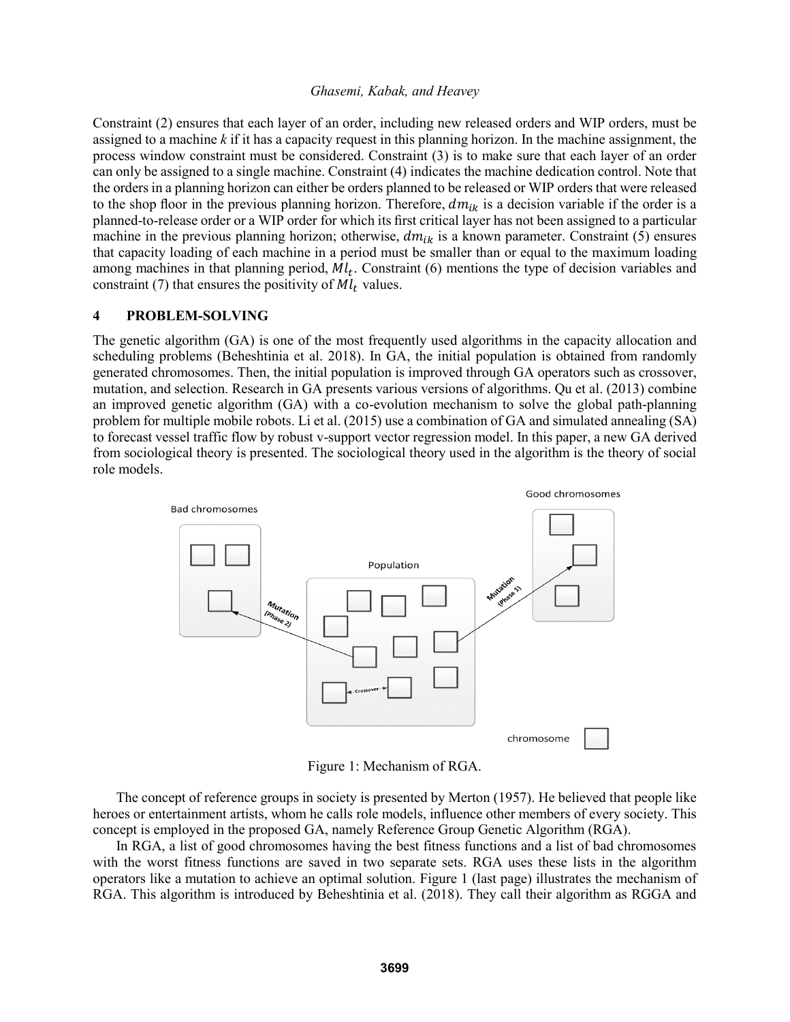Constraint (2) ensures that each layer of an order, including new released orders and WIP orders, must be assigned to a machine *k* if it has a capacity request in this planning horizon. In the machine assignment, the process window constraint must be considered. Constraint (3) is to make sure that each layer of an order can only be assigned to a single machine. Constraint (4) indicates the machine dedication control. Note that the orders in a planning horizon can either be orders planned to be released or WIP orders that were released to the shop floor in the previous planning horizon. Therefore,  $dm_{ik}$  is a decision variable if the order is a planned-to-release order or a WIP order for which its first critical layer has not been assigned to a particular machine in the previous planning horizon; otherwise,  $dm_{ik}$  is a known parameter. Constraint (5) ensures that capacity loading of each machine in a period must be smaller than or equal to the maximum loading among machines in that planning period,  $Ml_t$ . Constraint (6) mentions the type of decision variables and constraint (7) that ensures the positivity of  $M_l$  values.

#### **4 PROBLEM-SOLVING**

The genetic algorithm (GA) is one of the most frequently used algorithms in the capacity allocation and scheduling problems (Beheshtinia et al. 2018). In GA, the initial population is obtained from randomly generated chromosomes. Then, the initial population is improved through GA operators such as crossover, mutation, and selection. Research in GA presents various versions of algorithms. Qu et al. (2013) combine an improved genetic algorithm (GA) with a co-evolution mechanism to solve the global path-planning problem for multiple mobile robots. Li et al. (2015) use a combination of GA and simulated annealing (SA) to forecast vessel traffic flow by robust v-support vector regression model. In this paper, a new GA derived from sociological theory is presented. The sociological theory used in the algorithm is the theory of social role models.



Figure 1: Mechanism of RGA.

The concept of reference groups in society is presented by Merton (1957). He believed that people like heroes or entertainment artists, whom he calls role models, influence other members of every society. This concept is employed in the proposed GA, namely Reference Group Genetic Algorithm (RGA).

In RGA, a list of good chromosomes having the best fitness functions and a list of bad chromosomes with the worst fitness functions are saved in two separate sets. RGA uses these lists in the algorithm operators like a mutation to achieve an optimal solution. Figure 1 (last page) illustrates the mechanism of RGA. This algorithm is introduced by Beheshtinia et al. (2018). They call their algorithm as RGGA and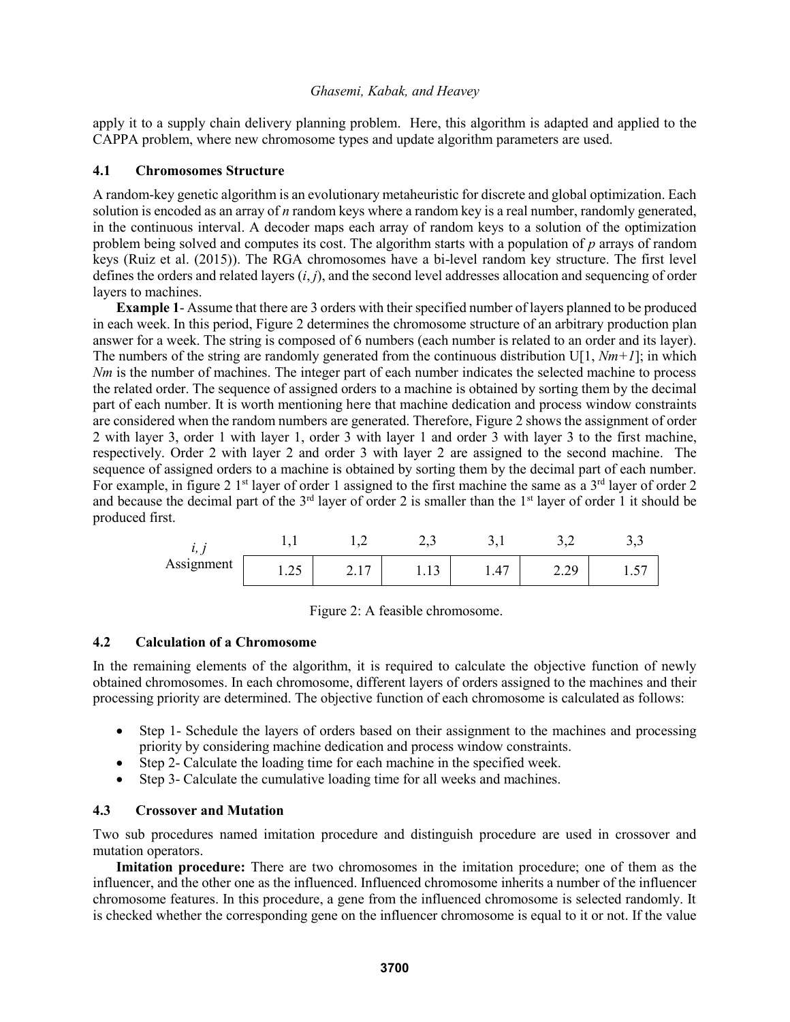apply it to a supply chain delivery planning problem. Here, this algorithm is adapted and applied to the CAPPA problem, where new chromosome types and update algorithm parameters are used.

### **4.1 Chromosomes Structure**

A random-key genetic algorithm is an evolutionary metaheuristic for discrete and global optimization. Each solution is encoded as an array of *n* random keys where a random key is a real number, randomly generated, in the continuous interval. A decoder maps each array of random keys to a solution of the optimization problem being solved and computes its cost. The algorithm starts with a population of *p* arrays of random keys (Ruiz et al. (2015)). The RGA chromosomes have a bi-level random key structure. The first level defines the orders and related layers (*i*, *j*), and the second level addresses allocation and sequencing of order layers to machines.

**Example 1**- Assume that there are 3 orders with their specified number of layers planned to be produced in each week. In this period, Figure 2 determines the chromosome structure of an arbitrary production plan answer for a week. The string is composed of 6 numbers (each number is related to an order and its layer). The numbers of the string are randomly generated from the continuous distribution  $U[1, Nm+1]$ ; in which *Nm* is the number of machines. The integer part of each number indicates the selected machine to process the related order. The sequence of assigned orders to a machine is obtained by sorting them by the decimal part of each number. It is worth mentioning here that machine dedication and process window constraints are considered when the random numbers are generated. Therefore, Figure 2 shows the assignment of order 2 with layer 3, order 1 with layer 1, order 3 with layer 1 and order 3 with layer 3 to the first machine, respectively. Order 2 with layer 2 and order 3 with layer 2 are assigned to the second machine. The sequence of assigned orders to a machine is obtained by sorting them by the decimal part of each number. For example, in figure 2  $1<sup>st</sup>$  layer of order 1 assigned to the first machine the same as a  $3<sup>rd</sup>$  layer of order 2 and because the decimal part of the  $3<sup>rd</sup>$  layer of order 2 is smaller than the  $1<sup>st</sup>$  layer of order 1 it should be produced first.

|            |            |                | –∼          | <u>.</u>       |                 | ັ້            |
|------------|------------|----------------|-------------|----------------|-----------------|---------------|
| Assignment | ~~<br>1.4J | −<br>$\sim$ .1 | <b>1.10</b> | $\Lambda$<br>. | $\cap$<br>رے کے | $\cdot \cdot$ |

## **4.2 Calculation of a Chromosome**

In the remaining elements of the algorithm, it is required to calculate the objective function of newly obtained chromosomes. In each chromosome, different layers of orders assigned to the machines and their processing priority are determined. The objective function of each chromosome is calculated as follows:

- Step 1- Schedule the layers of orders based on their assignment to the machines and processing priority by considering machine dedication and process window constraints.
- Step 2- Calculate the loading time for each machine in the specified week.
- Step 3- Calculate the cumulative loading time for all weeks and machines.

## **4.3 Crossover and Mutation**

Two sub procedures named imitation procedure and distinguish procedure are used in crossover and mutation operators.

**Imitation procedure:** There are two chromosomes in the imitation procedure; one of them as the influencer, and the other one as the influenced. Influenced chromosome inherits a number of the influencer chromosome features. In this procedure, a gene from the influenced chromosome is selected randomly. It is checked whether the corresponding gene on the influencer chromosome is equal to it or not. If the value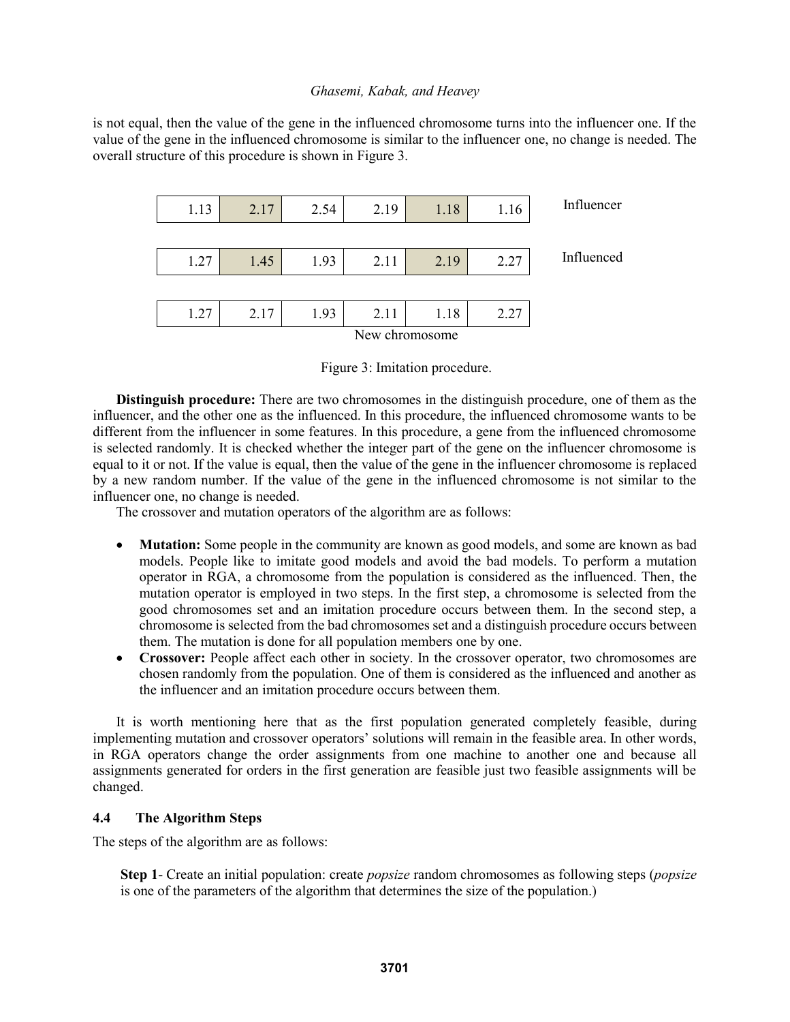is not equal, then the value of the gene in the influenced chromosome turns into the influencer one. If the value of the gene in the influenced chromosome is similar to the influencer one, no change is needed. The overall structure of this procedure is shown in Figure 3.



Figure 3: Imitation procedure.

**Distinguish procedure:** There are two chromosomes in the distinguish procedure, one of them as the influencer, and the other one as the influenced. In this procedure, the influenced chromosome wants to be different from the influencer in some features. In this procedure, a gene from the influenced chromosome is selected randomly. It is checked whether the integer part of the gene on the influencer chromosome is equal to it or not. If the value is equal, then the value of the gene in the influencer chromosome is replaced by a new random number. If the value of the gene in the influenced chromosome is not similar to the influencer one, no change is needed.

The crossover and mutation operators of the algorithm are as follows:

- **Mutation:** Some people in the community are known as good models, and some are known as bad models. People like to imitate good models and avoid the bad models. To perform a mutation operator in RGA, a chromosome from the population is considered as the influenced. Then, the mutation operator is employed in two steps. In the first step, a chromosome is selected from the good chromosomes set and an imitation procedure occurs between them. In the second step, a chromosome is selected from the bad chromosomes set and a distinguish procedure occurs between them. The mutation is done for all population members one by one.
- **Crossover:** People affect each other in society. In the crossover operator, two chromosomes are chosen randomly from the population. One of them is considered as the influenced and another as the influencer and an imitation procedure occurs between them.

It is worth mentioning here that as the first population generated completely feasible, during implementing mutation and crossover operators' solutions will remain in the feasible area. In other words, in RGA operators change the order assignments from one machine to another one and because all assignments generated for orders in the first generation are feasible just two feasible assignments will be changed.

#### **4.4 The Algorithm Steps**

The steps of the algorithm are as follows:

**Step 1**- Create an initial population: create *popsize* random chromosomes as following steps (*popsize* is one of the parameters of the algorithm that determines the size of the population.)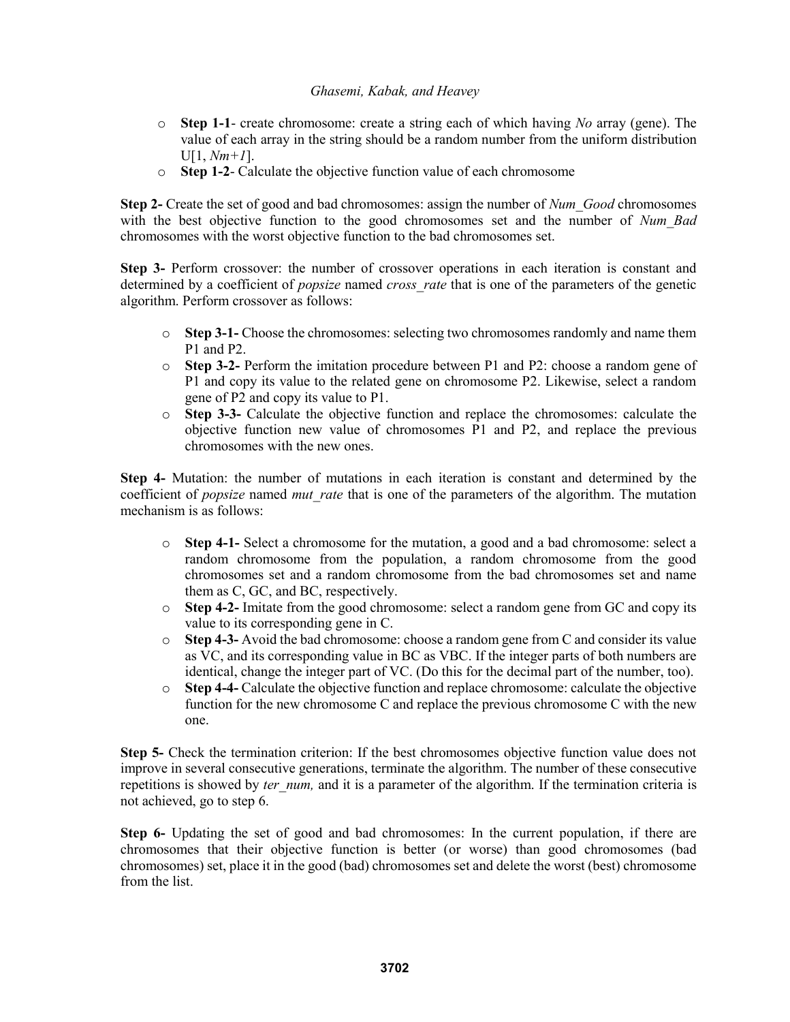- o **Step 1-1** create chromosome: create a string each of which having *No* array (gene). The value of each array in the string should be a random number from the uniform distribution U[1, *Nm+1*].
- o **Step 1-2** Calculate the objective function value of each chromosome

**Step 2-** Create the set of good and bad chromosomes: assign the number of *Num\_Good* chromosomes with the best objective function to the good chromosomes set and the number of *Num Bad* chromosomes with the worst objective function to the bad chromosomes set.

**Step 3-** Perform crossover: the number of crossover operations in each iteration is constant and determined by a coefficient of *popsize* named *cross\_rate* that is one of the parameters of the genetic algorithm. Perform crossover as follows:

- o **Step 3-1-** Choose the chromosomes: selecting two chromosomes randomly and name them P1 and P2.
- o **Step 3-2-** Perform the imitation procedure between P1 and P2: choose a random gene of P1 and copy its value to the related gene on chromosome P2. Likewise, select a random gene of P2 and copy its value to P1.
- o **Step 3-3-** Calculate the objective function and replace the chromosomes: calculate the objective function new value of chromosomes P1 and P2, and replace the previous chromosomes with the new ones.

**Step 4-** Mutation: the number of mutations in each iteration is constant and determined by the coefficient of *popsize* named *mut\_rate* that is one of the parameters of the algorithm. The mutation mechanism is as follows:

- o **Step 4-1-** Select a chromosome for the mutation, a good and a bad chromosome: select a random chromosome from the population, a random chromosome from the good chromosomes set and a random chromosome from the bad chromosomes set and name them as C, GC, and BC, respectively.
- o **Step 4-2-** Imitate from the good chromosome: select a random gene from GC and copy its value to its corresponding gene in C.
- o **Step 4-3-** Avoid the bad chromosome: choose a random gene from C and consider its value as VC, and its corresponding value in BC as VBC. If the integer parts of both numbers are identical, change the integer part of VC. (Do this for the decimal part of the number, too).
- o **Step 4-4-** Calculate the objective function and replace chromosome: calculate the objective function for the new chromosome C and replace the previous chromosome C with the new one.

**Step 5-** Check the termination criterion: If the best chromosomes objective function value does not improve in several consecutive generations, terminate the algorithm. The number of these consecutive repetitions is showed by *ter num*, and it is a parameter of the algorithm. If the termination criteria is not achieved, go to step 6.

**Step 6-** Updating the set of good and bad chromosomes: In the current population, if there are chromosomes that their objective function is better (or worse) than good chromosomes (bad chromosomes) set, place it in the good (bad) chromosomes set and delete the worst (best) chromosome from the list.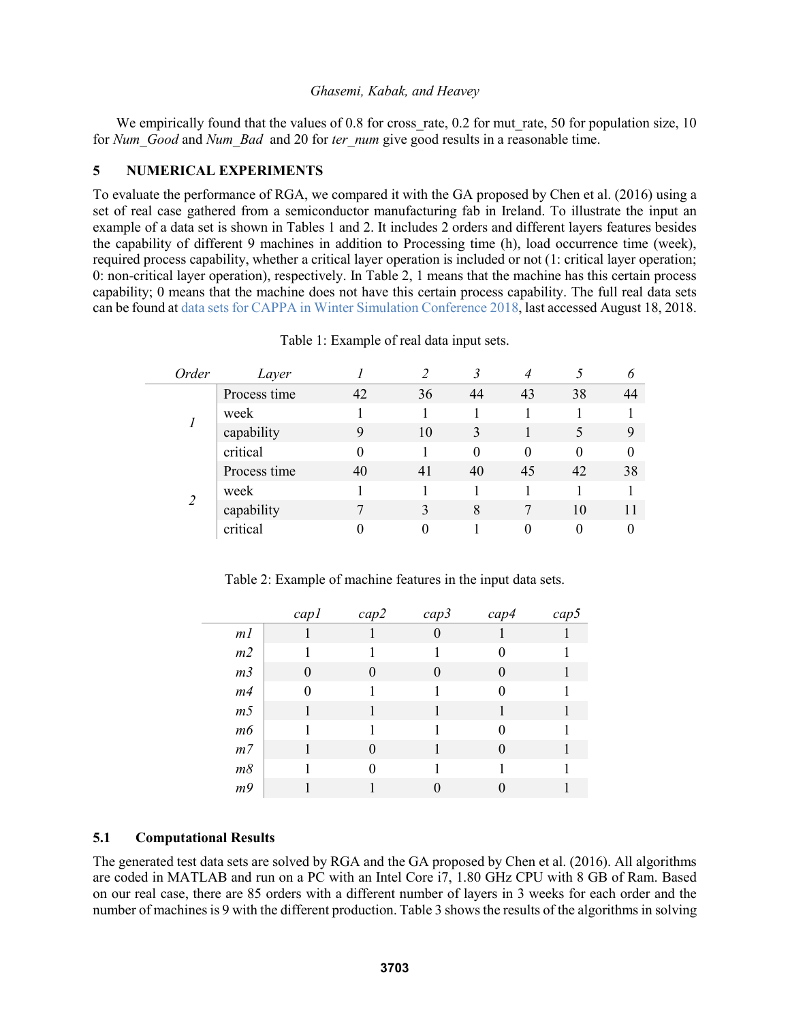We empirically found that the values of  $0.8$  for cross rate,  $0.2$  for mut rate, 50 for population size, 10 for *Num\_Good* and *Num\_Bad* and 20 for *ter\_num* give good results in a reasonable time.

# **5 NUMERICAL EXPERIMENTS**

To evaluate the performance of RGA, we compared it with the GA proposed by Chen et al. (2016) using a set of real case gathered from a semiconductor manufacturing fab in Ireland. To illustrate the input an example of a data set is shown in Tables 1 and 2. It includes 2 orders and different layers features besides the capability of different 9 machines in addition to Processing time (h), load occurrence time (week), required process capability, whether a critical layer operation is included or not (1: critical layer operation; 0: non-critical layer operation), respectively. In Table 2, 1 means that the machine has this certain process capability; 0 means that the machine does not have this certain process capability. The full real data sets can be found at data sets for CAPPA in Winter Simulation Conference 2018, last accessed August 18, 2018.

| Process time<br>42<br>36<br>38<br>43<br>44<br>44<br>week<br>capability<br>10<br>3<br>9<br>9<br>critical<br>$\Omega$<br>0<br>0<br>$\theta$<br>Process time<br>38<br>40<br>41<br>40<br>42<br>45<br>week<br>$\overline{2}$<br>capability<br>3<br>8<br>10<br>critical |  | Order | Layer |  |  |  |
|-------------------------------------------------------------------------------------------------------------------------------------------------------------------------------------------------------------------------------------------------------------------|--|-------|-------|--|--|--|
|                                                                                                                                                                                                                                                                   |  |       |       |  |  |  |
|                                                                                                                                                                                                                                                                   |  |       |       |  |  |  |
|                                                                                                                                                                                                                                                                   |  |       |       |  |  |  |
|                                                                                                                                                                                                                                                                   |  |       |       |  |  |  |
|                                                                                                                                                                                                                                                                   |  |       |       |  |  |  |
|                                                                                                                                                                                                                                                                   |  |       |       |  |  |  |
|                                                                                                                                                                                                                                                                   |  |       |       |  |  |  |
|                                                                                                                                                                                                                                                                   |  |       |       |  |  |  |

Table 1: Example of real data input sets.

Table 2: Example of machine features in the input data sets.

|                | cap1         | cap2             | cap3     | cap4 | cap5 |
|----------------|--------------|------------------|----------|------|------|
| m <sub>l</sub> |              |                  | $\theta$ |      |      |
| m2             |              |                  |          | 0    |      |
| m <sub>3</sub> | $\mathbf{0}$ |                  | 0        | 0    |      |
| m4             | 0            |                  |          | 0    |      |
| m <sub>5</sub> |              |                  |          |      |      |
| m6             |              |                  |          | 0    |      |
| $m$ 7          |              | $\left( \right)$ |          | 0    |      |
| m8             |              | 0                |          |      |      |
| m9             |              |                  |          |      |      |

## **5.1 Computational Results**

The generated test data sets are solved by RGA and the GA proposed by Chen et al. (2016). All algorithms are coded in MATLAB and run on a PC with an Intel Core i7, 1.80 GHz CPU with 8 GB of Ram. Based on our real case, there are 85 orders with a different number of layers in 3 weeks for each order and the number of machines is 9 with the different production. Table 3 shows the results of the algorithms in solving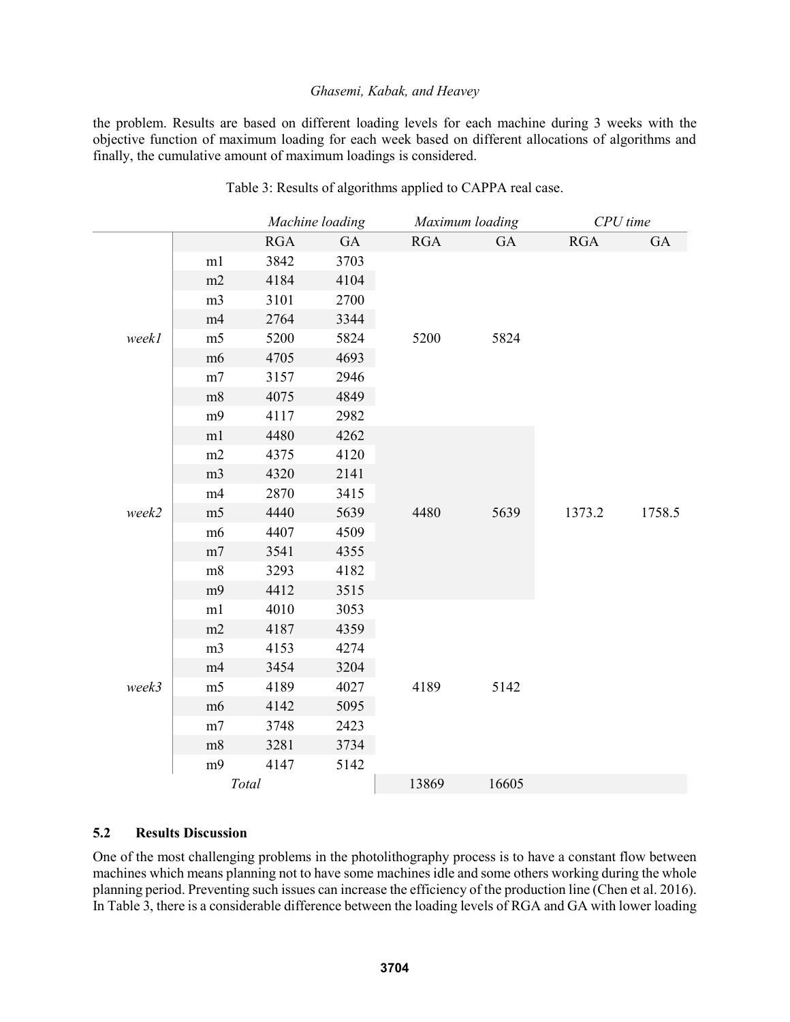the problem. Results are based on different loading levels for each machine during 3 weeks with the objective function of maximum loading for each week based on different allocations of algorithms and finally, the cumulative amount of maximum loadings is considered.

|       |                | Machine loading |      | Maximum loading |       | CPU time   |        |
|-------|----------------|-----------------|------|-----------------|-------|------------|--------|
|       |                | RGA             | GA   | <b>RGA</b>      | GA    | <b>RGA</b> | GA     |
|       | m1             | 3842            | 3703 |                 |       |            |        |
|       | m2             | 4184            | 4104 |                 |       |            |        |
|       | m <sub>3</sub> | 3101            | 2700 |                 |       |            |        |
|       | m4             | 2764            | 3344 |                 |       |            |        |
| weekl | m <sub>5</sub> | 5200            | 5824 | 5200            | 5824  |            |        |
|       | m <sub>6</sub> | 4705            | 4693 |                 |       |            |        |
|       | m7             | 3157            | 2946 |                 |       |            |        |
|       | m8             | 4075            | 4849 |                 |       |            |        |
|       | m <sub>9</sub> | 4117            | 2982 |                 |       |            |        |
|       | m1             | 4480            | 4262 |                 |       |            |        |
|       | m2             | 4375            | 4120 |                 |       | 1373.2     |        |
|       | m <sub>3</sub> | 4320            | 2141 | 4480            |       |            |        |
|       | m4             | 2870            | 3415 |                 |       |            |        |
| week2 | m <sub>5</sub> | 4440            | 5639 |                 | 5639  |            | 1758.5 |
|       | m <sub>6</sub> | 4407            | 4509 |                 |       |            |        |
|       | m7             | 3541            | 4355 |                 |       |            |        |
|       | m8             | 3293            | 4182 |                 |       |            |        |
|       | m9             | 4412            | 3515 |                 |       |            |        |
|       | m1             | 4010            | 3053 | 4189            |       |            |        |
|       | m2             | 4187            | 4359 |                 |       |            |        |
|       | m <sub>3</sub> | 4153            | 4274 |                 |       |            |        |
|       | m4             | 3454            | 3204 |                 |       |            |        |
| week3 | m <sub>5</sub> | 4189            | 4027 |                 | 5142  |            |        |
|       | m <sub>6</sub> | 4142            | 5095 |                 |       |            |        |
|       | m <sub>7</sub> | 3748            | 2423 |                 |       |            |        |
|       | m8             | 3281            | 3734 |                 |       |            |        |
|       | m <sub>9</sub> | 4147            | 5142 |                 |       |            |        |
|       | Total          |                 |      | 13869           | 16605 |            |        |

Table 3: Results of algorithms applied to CAPPA real case.

# **5.2 Results Discussion**

One of the most challenging problems in the photolithography process is to have a constant flow between machines which means planning not to have some machines idle and some others working during the whole planning period. Preventing such issues can increase the efficiency of the production line (Chen et al. 2016). In Table 3, there is a considerable difference between the loading levels of RGA and GA with lower loading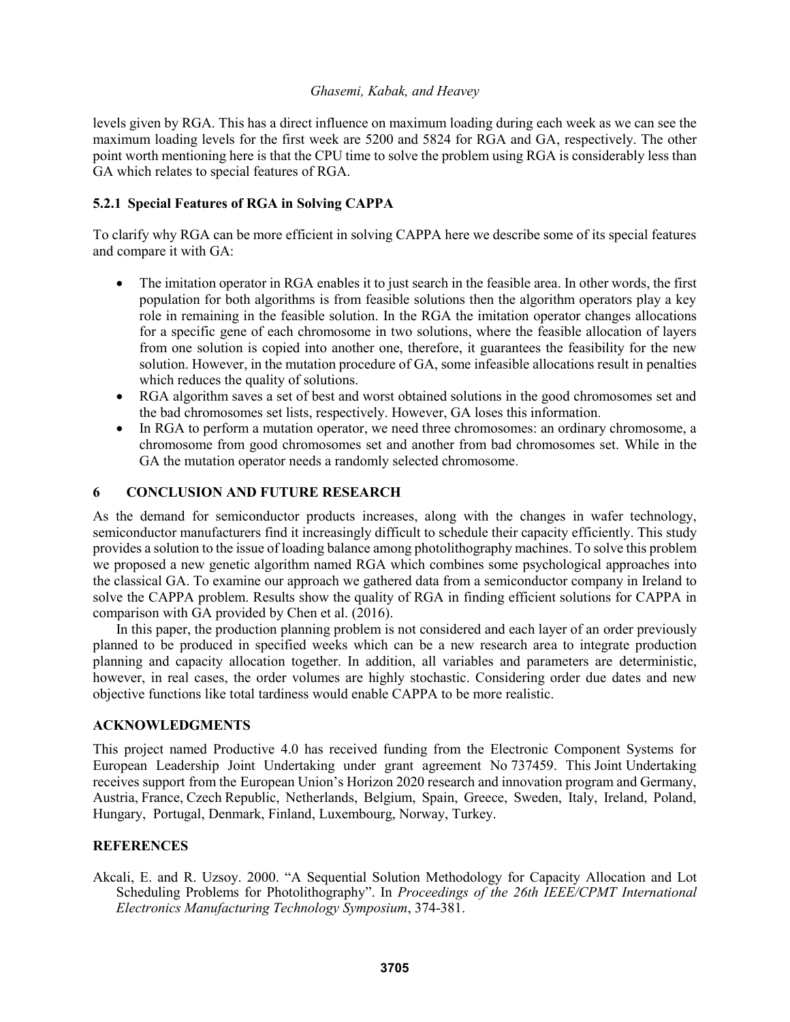levels given by RGA. This has a direct influence on maximum loading during each week as we can see the maximum loading levels for the first week are 5200 and 5824 for RGA and GA, respectively. The other point worth mentioning here is that the CPU time to solve the problem using RGA is considerably less than GA which relates to special features of RGA.

# **5.2.1 Special Features of RGA in Solving CAPPA**

To clarify why RGA can be more efficient in solving CAPPA here we describe some of its special features and compare it with GA:

- The imitation operator in RGA enables it to just search in the feasible area. In other words, the first population for both algorithms is from feasible solutions then the algorithm operators play a key role in remaining in the feasible solution. In the RGA the imitation operator changes allocations for a specific gene of each chromosome in two solutions, where the feasible allocation of layers from one solution is copied into another one, therefore, it guarantees the feasibility for the new solution. However, in the mutation procedure of GA, some infeasible allocations result in penalties which reduces the quality of solutions.
- RGA algorithm saves a set of best and worst obtained solutions in the good chromosomes set and the bad chromosomes set lists, respectively. However, GA loses this information.
- In RGA to perform a mutation operator, we need three chromosomes: an ordinary chromosome, a chromosome from good chromosomes set and another from bad chromosomes set. While in the GA the mutation operator needs a randomly selected chromosome.

## **6 CONCLUSION AND FUTURE RESEARCH**

As the demand for semiconductor products increases, along with the changes in wafer technology, semiconductor manufacturers find it increasingly difficult to schedule their capacity efficiently. This study provides a solution to the issue of loading balance among photolithography machines. To solve this problem we proposed a new genetic algorithm named RGA which combines some psychological approaches into the classical GA. To examine our approach we gathered data from a semiconductor company in Ireland to solve the CAPPA problem. Results show the quality of RGA in finding efficient solutions for CAPPA in comparison with GA provided by Chen et al. (2016).

In this paper, the production planning problem is not considered and each layer of an order previously planned to be produced in specified weeks which can be a new research area to integrate production planning and capacity allocation together. In addition, all variables and parameters are deterministic, however, in real cases, the order volumes are highly stochastic. Considering order due dates and new objective functions like total tardiness would enable CAPPA to be more realistic.

# **ACKNOWLEDGMENTS**

This project named Productive 4.0 has received funding from the Electronic Component Systems for European Leadership Joint Undertaking under grant agreement No 737459. This Joint Undertaking receives support from the European Union's Horizon 2020 research and innovation program and Germany, Austria, France, Czech Republic, Netherlands, Belgium, Spain, Greece, Sweden, Italy, Ireland, Poland, Hungary, Portugal, Denmark, Finland, Luxembourg, Norway, Turkey.

## **REFERENCES**

Akcali, E. and R. Uzsoy. 2000. "A Sequential Solution Methodology for Capacity Allocation and Lot Scheduling Problems for Photolithography". In *Proceedings of the 26th IEEE/CPMT International Electronics Manufacturing Technology Symposium*, 374-381.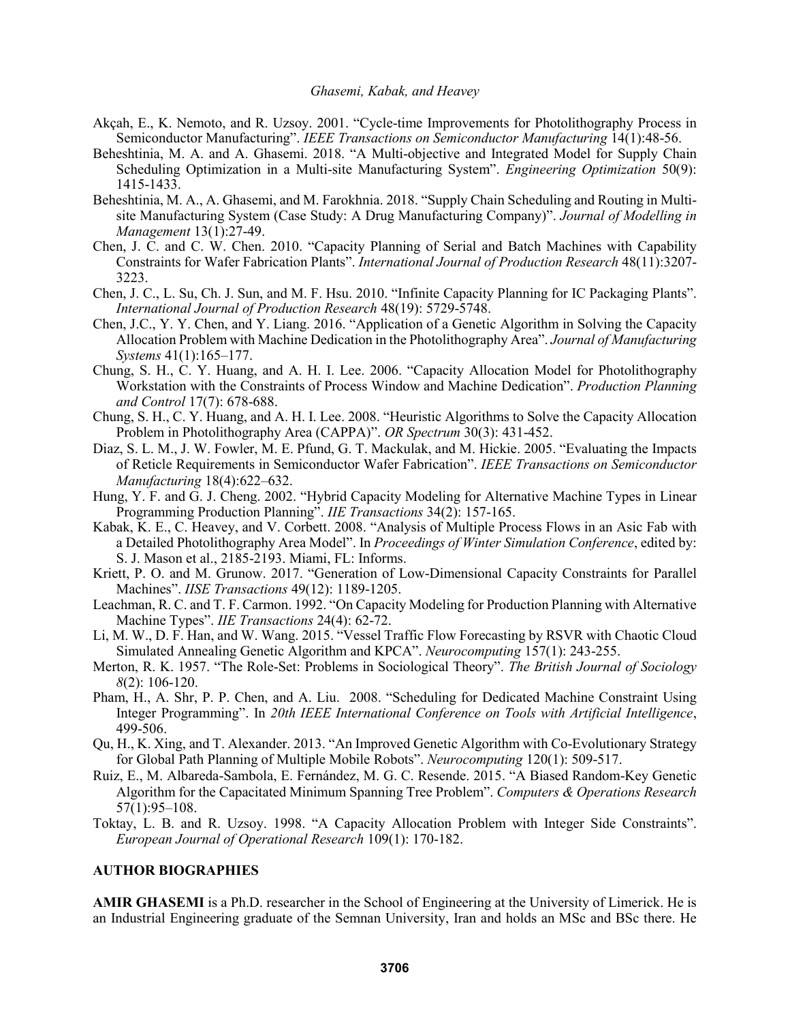- Akçah, E., K. Nemoto, and R. Uzsoy. 2001. "Cycle-time Improvements for Photolithography Process in Semiconductor Manufacturing". *IEEE Transactions on Semiconductor Manufacturing* 14(1):48-56.
- Beheshtinia, M. A. and A. Ghasemi. 2018. "A Multi-objective and Integrated Model for Supply Chain Scheduling Optimization in a Multi-site Manufacturing System". *Engineering Optimization* 50(9): 1415-1433.
- Beheshtinia, M. A., A. Ghasemi, and M. Farokhnia. 2018. "Supply Chain Scheduling and Routing in Multisite Manufacturing System (Case Study: A Drug Manufacturing Company)". *Journal of Modelling in Management* 13(1):27-49.
- Chen, J. C. and C. W. Chen. 2010. "Capacity Planning of Serial and Batch Machines with Capability Constraints for Wafer Fabrication Plants". *International Journal of Production Research* 48(11):3207- 3223.
- Chen, J. C., L. Su, Ch. J. Sun, and M. F. Hsu. 2010. "Infinite Capacity Planning for IC Packaging Plants". *International Journal of Production Research* 48(19): 5729-5748.
- Chen, J.C., Y. Y. Chen, and Y. Liang. 2016. "Application of a Genetic Algorithm in Solving the Capacity Allocation Problem with Machine Dedication in the Photolithography Area". *Journal of Manufacturing Systems* 41(1):165–177.
- Chung, S. H., C. Y. Huang, and A. H. I. Lee. 2006. "Capacity Allocation Model for Photolithography Workstation with the Constraints of Process Window and Machine Dedication". *Production Planning and Control* 17(7): 678-688.
- Chung, S. H., C. Y. Huang, and A. H. I. Lee. 2008. "Heuristic Algorithms to Solve the Capacity Allocation Problem in Photolithography Area (CAPPA)". *OR Spectrum* 30(3): 431-452.
- Diaz, S. L. M., J. W. Fowler, M. E. Pfund, G. T. Mackulak, and M. Hickie. 2005. "Evaluating the Impacts of Reticle Requirements in Semiconductor Wafer Fabrication". *IEEE Transactions on Semiconductor Manufacturing* 18(4):622–632.
- Hung, Y. F. and G. J. Cheng. 2002. "Hybrid Capacity Modeling for Alternative Machine Types in Linear Programming Production Planning". *IIE Transactions* 34(2): 157-165.
- Kabak, K. E., C. Heavey, and V. Corbett. 2008. "Analysis of Multiple Process Flows in an Asic Fab with a Detailed Photolithography Area Model". In *Proceedings of Winter Simulation Conference*, edited by: S. J. Mason et al., 2185-2193. Miami, FL: Informs.
- Kriett, P. O. and M. Grunow. 2017. "Generation of Low-Dimensional Capacity Constraints for Parallel Machines". *IISE Transactions* 49(12): 1189-1205.
- Leachman, R. C. and T. F. Carmon. 1992. "On Capacity Modeling for Production Planning with Alternative Machine Types". *IIE Transactions* 24(4): 62-72.
- Li, M. W., D. F. Han, and W. Wang. 2015. "Vessel Traffic Flow Forecasting by RSVR with Chaotic Cloud Simulated Annealing Genetic Algorithm and KPCA". *Neurocomputing* 157(1): 243-255.
- Merton, R. K. 1957. "The Role-Set: Problems in Sociological Theory". *The British Journal of Sociology 8*(2): 106-120.
- Pham, H., A. Shr, P. P. Chen, and A. Liu. 2008. "Scheduling for Dedicated Machine Constraint Using Integer Programming". In *20th IEEE International Conference on Tools with Artificial Intelligence*, 499-506.
- Qu, H., K. Xing, and T. Alexander. 2013. "An Improved Genetic Algorithm with Co-Evolutionary Strategy for Global Path Planning of Multiple Mobile Robots". *Neurocomputing* 120(1): 509-517.
- Ruiz, E., M. Albareda-Sambola, E. Fernández, M. G. C. Resende. 2015. "A Biased Random-Key Genetic Algorithm for the Capacitated Minimum Spanning Tree Problem". *Computers & Operations Research* 57(1):95–108.
- Toktay, L. B. and R. Uzsoy. 1998. "A Capacity Allocation Problem with Integer Side Constraints". *European Journal of Operational Research* 109(1): 170-182.

#### **AUTHOR BIOGRAPHIES**

**AMIR GHASEMI** is a Ph.D. researcher in the School of Engineering at the University of Limerick. He is an Industrial Engineering graduate of the Semnan University, Iran and holds an MSc and BSc there. He